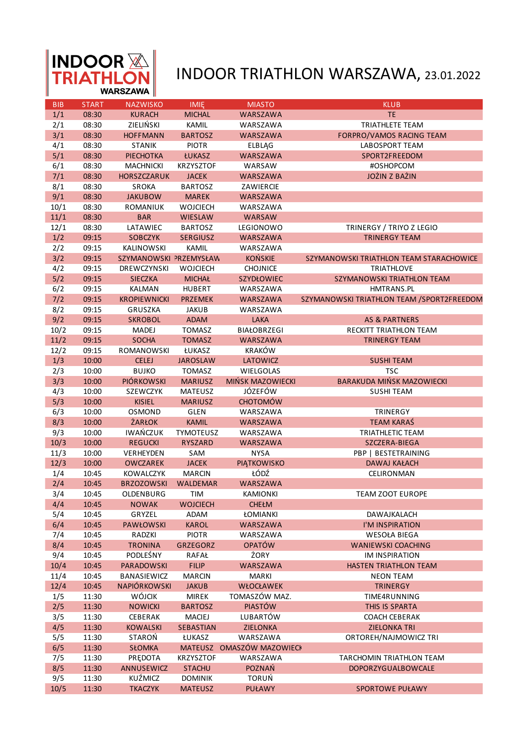## INDOOR TRIATHLON WARSZAWA, 23.01.2022



| <b>BIB</b>  | <b>START</b>   | <b>NAZWISKO</b>         | <b>IMIE</b>                  | <b>MIASTO</b>                         | <b>KLUB</b>                                |
|-------------|----------------|-------------------------|------------------------------|---------------------------------------|--------------------------------------------|
| 1/1         | 08:30          | <b>KURACH</b>           | <b>MICHAL</b>                | WARSZAWA                              | <b>TE</b>                                  |
| 2/1         | 08:30          | ZIELIŃSKI               | KAMIL                        | WARSZAWA                              | <b>TRIATHLETE TEAM</b>                     |
| 3/1         | 08:30          | <b>HOFFMANN</b>         | <b>BARTOSZ</b>               | WARSZAWA                              | FORPRO/VAMOS RACING TEAM                   |
| 4/1         | 08:30          | <b>STANIK</b>           | <b>PIOTR</b>                 | <b>ELBLAG</b>                         | LABOSPORT TEAM                             |
| 5/1         | 08:30          | <b>PIECHOTKA</b>        | ŁUKASZ                       | WARSZAWA                              | SPORT2FREEDOM                              |
| 6/1         | 08:30          | MACHNICKI               | <b>KRZYSZTOF</b>             | WARSAW                                | #OSHOPCOM                                  |
| 7/1         | 08:30          | <b>HORSZCZARUK</b>      | <b>JACEK</b>                 | <b>WARSZAWA</b>                       | <b>JOŻIN Z BAŻIN</b>                       |
| 8/1         | 08:30          | SROKA                   | <b>BARTOSZ</b>               | ZAWIERCIE                             |                                            |
| 9/1         | 08:30          | <b>JAKUBOW</b>          | <b>MAREK</b>                 | WARSZAWA                              |                                            |
| 10/1        | 08:30          | ROMANIUK                | <b>WOJCIECH</b>              | WARSZAWA                              |                                            |
| 11/1        | 08:30          | <b>BAR</b>              | WIESLAW                      | WARSAW                                |                                            |
| 12/1        | 08:30          | LATAWIEC                | <b>BARTOSZ</b>               | <b>LEGIONOWO</b>                      | TRINERGY / TRIYO Z LEGIO                   |
| 1/2         | 09:15          | <b>SOBCZYK</b>          | <b>SERGIUSZ</b>              | <b>WARSZAWA</b>                       | <b>TRINERGY TEAM</b>                       |
| 2/2         | 09:15          | KALINOWSKI              | KAMIL                        | WARSZAWA                              |                                            |
| 3/2         | 09:15          | SZYMANOWSKI PRZEMYSŁAW  |                              | <b>KOŃSKIE</b>                        | SZYMANOWSKI TRIATHLON TEAM STARACHOWICE    |
| 4/2         | 09:15          | DREWCZYNSKI             | WOJCIECH                     | <b>CHOJNICE</b>                       | <b>TRIATHLOVE</b>                          |
| 5/2         | 09:15          | <b>SIECZKA</b>          | <b>MICHAŁ</b>                | SZYDŁOWIEC                            | SZYMANOWSKI TRIATHLON TEAM                 |
| 6/2         | 09:15          | KALMAN                  | <b>HUBERT</b>                | WARSZAWA                              | HMTRANS.PL                                 |
| 7/2         | 09:15          | <b>KROPIEWNICKI</b>     | <b>PRZEMEK</b>               | <b>WARSZAWA</b>                       | SZYMANOWSKI TRIATHLON TEAM / SPORT2FREEDOM |
| 8/2         | 09:15          | GRUSZKA                 | <b>JAKUB</b>                 | WARSZAWA                              |                                            |
| 9/2         | 09:15          | <b>SKROBOL</b>          | <b>ADAM</b>                  | <b>LAKA</b>                           | <b>AS &amp; PARTNERS</b>                   |
| 10/2        | 09:15          | MADEJ                   | <b>TOMASZ</b>                | <b>BIAŁOBRZEGI</b>                    | RECKITT TRIATHLON TEAM                     |
| 11/2        | 09:15          | <b>SOCHA</b>            | <b>TOMASZ</b>                | <b>WARSZAWA</b>                       | <b>TRINERGY TEAM</b>                       |
| 12/2        | 09:15          | ROMANOWSKI              | ŁUKASZ                       | <b>KRAKÓW</b>                         |                                            |
| 1/3         | 10:00          | <b>CELEJ</b>            | <b>JAROSLAW</b>              | <b>LATOWICZ</b>                       | <b>SUSHI TEAM</b>                          |
| 2/3         | 10:00          | BUJKO                   | <b>TOMASZ</b>                | <b>WIELGOLAS</b>                      | <b>TSC</b>                                 |
| 3/3         | 10:00          | <b>PIÓRKOWSKI</b>       | <b>MARIUSZ</b>               | <b>MIŃSK MAZOWIECKI</b>               | <b>BARAKUDA MIŃSK MAZOWIECKI</b>           |
| 4/3         | 10:00          | <b>SZEWCZYK</b>         | <b>MATEUSZ</b>               | JÓZEFÓW                               | <b>SUSHI TEAM</b>                          |
| 5/3         | 10:00          | <b>KISIEL</b>           | <b>MARIUSZ</b>               | <b>CHOTOMÓW</b>                       |                                            |
| 6/3         | 10:00          | OSMOND                  | GLEN                         | WARSZAWA                              | TRINERGY                                   |
| 8/3         | 10:00          | <b>ŻARŁOK</b>           | <b>KAMIL</b>                 | WARSZAWA                              | <b>TEAM KARAŚ</b>                          |
| 9/3         | 10:00          | <b>IWAŃCZUK</b>         | <b>TYMOTEUSZ</b>             | WARSZAWA                              | TRIATHLETIC TEAM                           |
| 10/3        | 10:00          | <b>REGUCKI</b>          | <b>RYSZARD</b>               | WARSZAWA                              | SZCZERA-BIEGA                              |
| 11/3        | 10:00          | <b>VERHEYDEN</b>        | SAM                          | <b>NYSA</b>                           | PBP   BESTETRAINING                        |
| 12/3        | 10:00          | <b>OWCZAREK</b>         | <b>JACEK</b>                 | PIĄTKOWISKO                           | <b>DAWAJ KAŁACH</b>                        |
| 1/4         | 10:45          | <b>KOWALCZYK</b>        | <b>MARCIN</b>                | ŁÓDŹ                                  | CELIRONMAN                                 |
| 2/4         | 10:45          | <b>BRZOZOWSKI</b>       | <b>WALDEMAR</b>              | WARSZAWA                              |                                            |
| 3/4         | 10:45          | OLDENBURG               | TIM                          | KAMIONKI                              | <b>TEAM ZOOT EUROPE</b>                    |
| 4/4         | 10:45          | <b>NOWAK</b>            | <b>WOJCIECH</b>              | <b>CHEŁM</b>                          |                                            |
| 5/4         | 10:45          | GRYZEL                  | ADAM                         | ŁOMIANKI                              | DAWAJKALACH                                |
| 6/4         | 10:45          | <b>PAWŁOWSKI</b>        | <b>KAROL</b>                 | <b>WARSZAWA</b>                       | I'M INSPIRATION                            |
| 7/4         | 10:45          | RADZKI                  | <b>PIOTR</b>                 | WARSZAWA                              | <b>WESOŁA BIEGA</b>                        |
| 8/4         | 10:45          | <b>TRONINA</b>          | <b>GRZEGORZ</b>              | <b>OPATÓW</b>                         | <b>WANIEWSKI COACHING</b>                  |
| 9/4         | 10:45          | PODLEŚNY                | RAFAŁ                        | ŻORY                                  | IM INSPIRATION                             |
| 10/4        | 10:45          | <b>PARADOWSKI</b>       | <b>FILIP</b>                 | WARSZAWA                              | <b>HASTEN TRIATHLON TEAM</b>               |
| 11/4        | 10:45          | BANASIEWICZ             | <b>MARCIN</b>                | <b>MARKI</b>                          | <b>NEON TEAM</b>                           |
|             |                | NAPIÓRKOWSKI            |                              | WŁOCŁAWEK                             | <b>TRINERGY</b>                            |
| 12/4<br>1/5 | 10:45<br>11:30 | WÓJCIK                  | <b>JAKUB</b><br><b>MIREK</b> | TOMASZÓW MAZ.                         | TIME4RUNNING                               |
| 2/5         | 11:30          | <b>NOWICKI</b>          | <b>BARTOSZ</b>               | <b>PIASTÓW</b>                        | THIS IS SPARTA                             |
|             |                | <b>CEBERAK</b>          |                              | LUBARTÓW                              | <b>COACH CEBERAK</b>                       |
| 3/5<br>4/5  | 11:30<br>11:30 | <b>KOWALSKI</b>         | <b>MACIEJ</b><br>SEBASTIAN   | <b>ZIELONKA</b>                       | <b>ZIELONKA TRI</b>                        |
|             |                |                         |                              |                                       |                                            |
| 5/5         | 11:30<br>11:30 | STAROŃ<br><b>SŁOMKA</b> | ŁUKASZ                       | WARSZAWA<br>MATEUSZ OMASZÓW MAZOWIECH | ORTOREH/NAJMOWICZ TRI                      |
| 6/5         |                |                         |                              | WARSZAWA                              | TARCHOMIN TRIATHLON TEAM                   |
| 7/5<br>8/5  | 11:30<br>11:30 | PRĘDOTA<br>ANNUSEWICZ   | <b>KRZYSZTOF</b>             | POZNAŃ                                |                                            |
|             |                |                         | <b>STACHU</b>                |                                       | DOPORZYGUALBOWCALE                         |
| 9/5         | 11:30          | KUŹMICZ                 | <b>DOMINIK</b>               | <b>TORUŃ</b>                          |                                            |
| 10/5        | 11:30          | <b>TKACZYK</b>          | <b>MATEUSZ</b>               | <b>PUŁAWY</b>                         | <b>SPORTOWE PUŁAWY</b>                     |